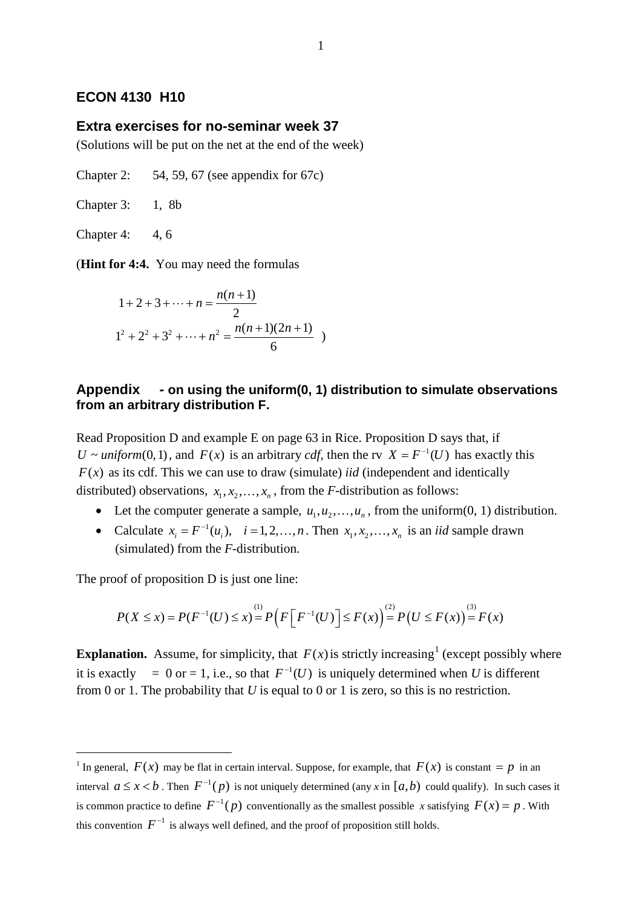## **ECON 4130 H10**

## **Extra exercises for no-seminar week 37**

(Solutions will be put on the net at the end of the week)

Chapter 2:  $54, 59, 67$  (see appendix for 67c)

Chapter 3: 1, 8b

Chapter 4: 4, 6

(**Hint for 4:4.** You may need the formulas

$$
1 + 2 + 3 + \dots + n = \frac{n(n+1)}{2}
$$
  

$$
1^{2} + 2^{2} + 3^{2} + \dots + n^{2} = \frac{n(n+1)(2n+1)}{6}
$$

## **Appendix - on using the uniform(0, 1) distribution to simulate observations from an arbitrary distribution F.**

Read Proposition D and example E on page 63 in Rice. Proposition D says that, if *U ~ uniform*(0,1), and  $F(x)$  is an arbitrary *cdf*, then the rv  $X = F^{-1}(U)$  has exactly this  $F(x)$  as its cdf. This we can use to draw (simulate) *iid* (independent and identically distributed) observations,  $x_1, x_2, ..., x_n$ , from the *F*-distribution as follows:

- Let the computer generate a sample,  $u_1, u_2, \ldots, u_n$ , from the uniform(0, 1) distribution.
- Calculate  $x_i = F^{-1}(u_i)$ ,  $i = 1, 2, ..., n$ . Then  $x_1, x_2, ..., x_n$  is an *iid* sample drawn (simulated) from the *F*-distribution.

The proof of proposition D is just one line:

$$
P(X \le x) = P(F^{-1}(U) \le x) = P\left(F\left[F^{-1}(U)\right] \le F(x)\right) = P\left(U \le F(x)\right) = F(x)
$$

**Explanation.** Assume, for simplicity, that  $F(x)$  is strictly increasing<sup>[1](#page-0-0)</sup> (except possibly where it is exactly = 0 or = 1, i.e., so that  $F^{-1}(U)$  is uniquely determined when *U* is different from 0 or 1. The probability that *U* is equal to 0 or 1 is zero, so this is no restriction.

<span id="page-0-0"></span><sup>&</sup>lt;sup>1</sup> In general,  $F(x)$  may be flat in certain interval. Suppose, for example, that  $F(x)$  is constant = *p* in an interval  $a \le x < b$ . Then  $F^{-1}(p)$  is not uniquely determined (any x in [ $a,b$ ) could qualify). In such cases it is common practice to define  $F^{-1}(p)$  conventionally as the smallest possible *x* satisfying  $F(x) = p$ . With this convention  $F^{-1}$  is always well defined, and the proof of proposition still holds.